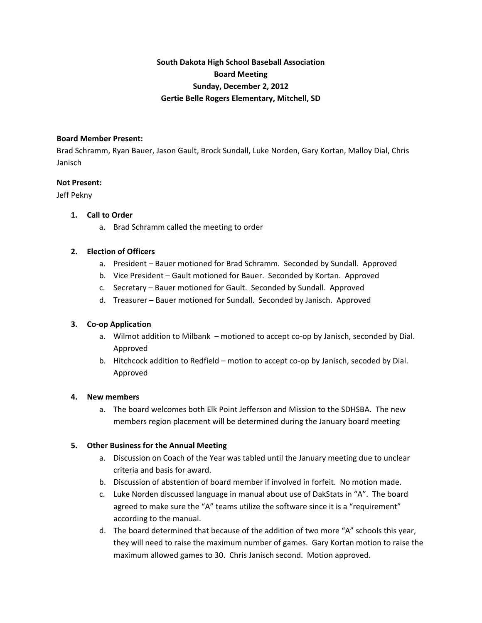# **South Dakota High School Baseball Association Board Meeting Sunday, December 2, 2012 Gertie Belle Rogers Elementary, Mitchell, SD**

#### **Board Member Present:**

Brad Schramm, Ryan Bauer, Jason Gault, Brock Sundall, Luke Norden, Gary Kortan, Malloy Dial, Chris Janisch

#### **Not Present:**

Jeff Pekny

#### **1. Call to Order**

a. Brad Schramm called the meeting to order

#### **2. Election of Officers**

- a. President Bauer motioned for Brad Schramm. Seconded by Sundall. Approved
- b. Vice President Gault motioned for Bauer. Seconded by Kortan. Approved
- c. Secretary Bauer motioned for Gault. Seconded by Sundall. Approved
- d. Treasurer Bauer motioned for Sundall. Seconded by Janisch. Approved

## **3. Co‐op Application**

- a. Wilmot addition to Milbank motioned to accept co-op by Janisch, seconded by Dial. Approved
- b. Hitchcock addition to Redfield motion to accept co-op by Janisch, secoded by Dial. Approved

## **4. New members**

a. The board welcomes both Elk Point Jefferson and Mission to the SDHSBA. The new members region placement will be determined during the January board meeting

## **5. Other Business for the Annual Meeting**

- a. Discussion on Coach of the Year was tabled until the January meeting due to unclear criteria and basis for award.
- b. Discussion of abstention of board member if involved in forfeit. No motion made.
- c. Luke Norden discussed language in manual about use of DakStats in "A". The board agreed to make sure the "A" teams utilize the software since it is a "requirement" according to the manual.
- d. The board determined that because of the addition of two more "A" schools this year, they will need to raise the maximum number of games. Gary Kortan motion to raise the maximum allowed games to 30. Chris Janisch second. Motion approved.